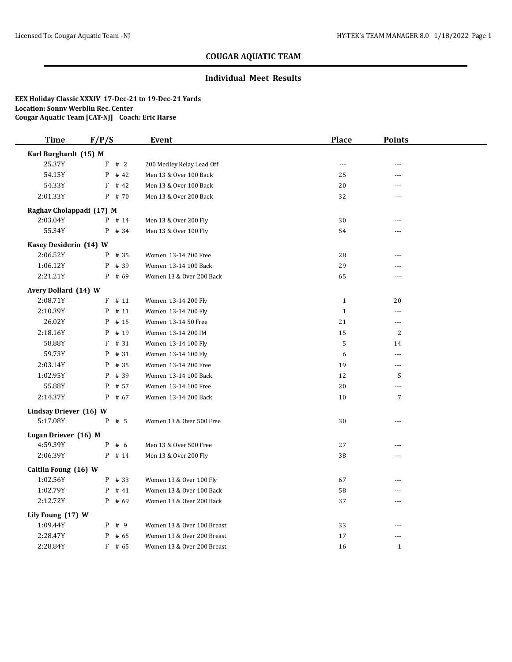### **Individual Meet Results**

| <b>Time</b>              | F/P/S     | Event                      | <b>Place</b> | <b>Points</b>        |  |
|--------------------------|-----------|----------------------------|--------------|----------------------|--|
| Karl Burghardt (15) M    |           |                            |              |                      |  |
| 25.37Y                   | # 2<br>F  | 200 Medley Relay Lead Off  | $\sim$       |                      |  |
| 54.15Y                   | P<br># 42 | Men 13 & Over 100 Back     | 25           |                      |  |
| 54.33Y                   | F<br># 42 | Men 13 & Over 100 Back     | 20           | $\overline{a}$       |  |
| 2:01.33Y                 | $P$ # 70  | Men 13 & Over 200 Back     | 32           |                      |  |
| Raghav Cholappadi (17) M |           |                            |              |                      |  |
| 2:03.04Y                 | P # 14    | Men 13 & Over 200 Fly      | 30           | $-$                  |  |
| 55.34Y                   | P<br># 34 | Men 13 & Over 100 Fly      | 54           | $\overline{a}$       |  |
| Kasey Desiderio (14) W   |           |                            |              |                      |  |
| 2:06.52Y                 | $P$ # 35  | Women 13-14 200 Free       | 28           | $\overline{a}$       |  |
| 1:06.12Y                 | # 39<br>P | Women 13-14 100 Back       | 29           |                      |  |
| 2:21.21Y                 | $P$ # 69  | Women 13 & Over 200 Back   | 65           |                      |  |
| Avery Dollard (14) W     |           |                            |              |                      |  |
| 2:08.71Y                 | $F$ # 11  | Women 13-14 200 Fly        | $\mathbf{1}$ | 20                   |  |
| 2:10.39Y                 | # 11<br>P | Women 13-14 200 Fly        | $\mathbf{1}$ | $\sim$               |  |
| 26.02Y                   | $P$ # 15  | Women 13-14 50 Free        | 21           | $\sim$               |  |
| 2:18.16Y                 | # 19<br>P | Women 13-14 200 IM         | 15           | 2                    |  |
| 58.88Y                   | F<br># 31 | Women 13-14 100 Fly        | 5            | 14                   |  |
| 59.73Y                   | # 31<br>P | Women 13-14 100 Fly        | 6            | $\sim$ $\sim$ $\sim$ |  |
| 2:03.14Y                 | # 35<br>P | Women 13-14 200 Free       | 19           | ---                  |  |
| 1:02.95Y                 | # 39<br>P | Women 13-14 100 Back       | 12           | 5                    |  |
| 55.88Y                   | # 57<br>P | Women 13-14 100 Free       | 20           | $\overline{a}$       |  |
| 2:14.37Y                 | $P$ # 67  | Women 13-14 200 Back       | 10           | $\overline{7}$       |  |
| Lindsay Driever (16) W   |           |                            |              |                      |  |
| 5:17.08Y                 | $P$ # 5   | Women 13 & Over 500 Free   | 30           | ---                  |  |
| Logan Driever (16) M     |           |                            |              |                      |  |
| 4:59.39Y                 | $P$ # 6   | Men 13 & Over 500 Free     | 27           |                      |  |
| 2:06.39Y                 | P # 14    | Men 13 & Over 200 Fly      | 38           |                      |  |
| Caitlin Foung (16) W     |           |                            |              |                      |  |
| 1:02.56Y                 | $P$ # 33  | Women 13 & Over 100 Fly    | 67           |                      |  |
| 1:02.79Y                 | P<br># 41 | Women 13 & Over 100 Back   | 58           | $- - -$              |  |
| 2:12.72Y                 | $P$ # 69  | Women 13 & Over 200 Back   | 37           | $\overline{a}$       |  |
| Lily Foung (17) W        |           |                            |              |                      |  |
| 1:09.44Y                 | $P$ # 9   | Women 13 & Over 100 Breast | 33           | $- - -$              |  |
| 2:28.47Y                 | $P$ # 65  | Women 13 & Over 200 Breast | 17           | ---                  |  |
| 2:28.84Y                 | $F$ # 65  | Women 13 & Over 200 Breast | 16           | $\mathbf{1}$         |  |
|                          |           |                            |              |                      |  |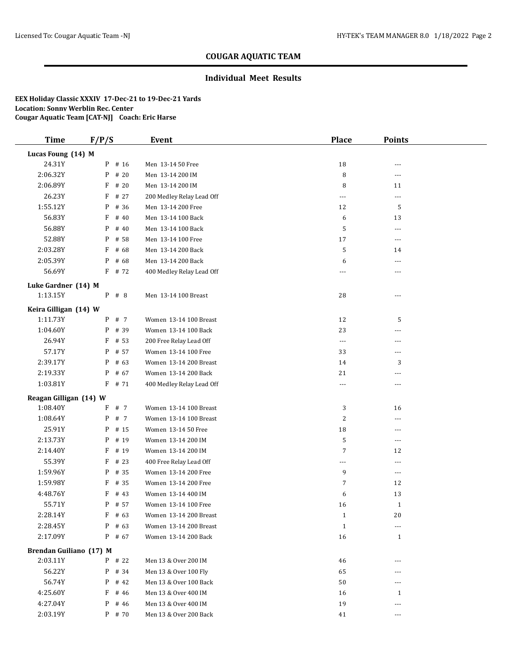### **Individual Meet Results**

| <b>Time</b>             | F/P/S     | Event                     | <b>Place</b>         | <b>Points</b>  |  |
|-------------------------|-----------|---------------------------|----------------------|----------------|--|
| Lucas Foung (14) M      |           |                           |                      |                |  |
| 24.31Y                  | P # 16    | Men 13-14 50 Free         | 18                   | ---            |  |
| 2:06.32Y                | $P$ # 20  | Men 13-14 200 IM          | 8                    | ---            |  |
| 2:06.89Y                | $F$ # 20  | Men 13-14 200 IM          | 8                    | 11             |  |
| 26.23Y                  | F<br># 27 | 200 Medley Relay Lead Off | ---                  | $\cdots$       |  |
| 1:55.12Y                | P # 36    | Men 13-14 200 Free        | 12                   | 5              |  |
| 56.83Y                  | $F$ # 40  | Men 13-14 100 Back        | 6                    | 13             |  |
| 56.88Y                  | $P$ # 40  | Men 13-14 100 Back        | 5                    | $\cdots$       |  |
| 52.88Y                  | P<br># 58 | Men 13-14 100 Free        | 17                   | $---$          |  |
| 2:03.28Y                | F<br># 68 | Men 13-14 200 Back        | 5                    | 14             |  |
| 2:05.39Y                | $P$ # 68  | Men 13-14 200 Back        | 6                    | $\overline{a}$ |  |
| 56.69Y                  | F # 72    | 400 Medley Relay Lead Off | ---                  | ---            |  |
| Luke Gardner (14) M     |           |                           |                      |                |  |
| 1:13.15Y                | P # 8     | Men 13-14 100 Breast      | 28                   | ---            |  |
| Keira Gilligan (14) W   |           |                           |                      |                |  |
| 1:11.73Y                | P # 7     | Women 13-14 100 Breast    | 12                   | 5              |  |
| 1:04.60Y                | P # 39    | Women 13-14 100 Back      | 23                   | ---            |  |
| 26.94Y                  | F<br># 53 | 200 Free Relay Lead Off   | $\scriptstyle\cdots$ | ---            |  |
| 57.17Y                  | P # 57    | Women 13-14 100 Free      | 33                   | ---            |  |
| 2:39.17Y                | $P$ # 63  | Women 13-14 200 Breast    | 14                   | 3              |  |
| 2:19.33Y                | $P$ # 67  | Women 13-14 200 Back      | 21                   | ---            |  |
| 1:03.81Y                | $F$ # 71  | 400 Medley Relay Lead Off | $\overline{a}$       | $\cdots$       |  |
| Reagan Gilligan (14) W  |           |                           |                      |                |  |
| 1:08.40Y                | F # 7     | Women 13-14 100 Breast    | 3                    | 16             |  |
| 1:08.64Y                | P # 7     | Women 13-14 100 Breast    | $\overline{2}$       | ---            |  |
| 25.91Y                  | P # 15    | Women 13-14 50 Free       | 18                   | ---            |  |
| 2:13.73Y                | P # 19    | Women 13-14 200 IM        | 5                    | $\sim$ $\sim$  |  |
| 2:14.40Y                | $F$ # 19  | Women 13-14 200 IM        | 7                    | 12             |  |
| 55.39Y                  | $F$ # 23  | 400 Free Relay Lead Off   | $\overline{a}$       | $\overline{a}$ |  |
| 1:59.96Y                | P # 35    | Women 13-14 200 Free      | 9                    | $\cdots$       |  |
| 1:59.98Y                | $F$ # 35  | Women 13-14 200 Free      | 7                    | 12             |  |
| 4:48.76Y                | $F$ # 43  | Women 13-14 400 IM        | 6                    | 13             |  |
| 55.71Y                  | $P$ # 57  | Women 13-14 100 Free      | 16                   | $\mathbf{1}$   |  |
| 2:28.14Y                | $F$ # 63  | Women 13-14 200 Breast    | $\mathbf{1}$         | 20             |  |
| 2:28.45Y                | $P$ # 63  | Women 13-14 200 Breast    | $\mathbf{1}$         | ---            |  |
| 2:17.09Y                | P # 67    | Women 13-14 200 Back      | 16                   | $\mathbf{1}$   |  |
| Brendan Guiliano (17) M |           |                           |                      |                |  |
| 2:03.11Y                | P # 22    | Men 13 & Over 200 IM      | 46                   | $---$          |  |
| 56.22Y                  | $P$ # 34  | Men 13 & Over 100 Fly     | 65                   | ---            |  |
| 56.74Y                  | P # 42    | Men 13 & Over 100 Back    | 50                   | ---            |  |
| 4:25.60Y                | # 46<br>F | Men 13 & Over 400 IM      | 16                   | 1              |  |
| 4:27.04Y                | P # 46    | Men 13 & Over 400 IM      | 19                   | ---            |  |
| 2:03.19Y                | P # 70    | Men 13 & Over 200 Back    | 41                   | $\cdots$       |  |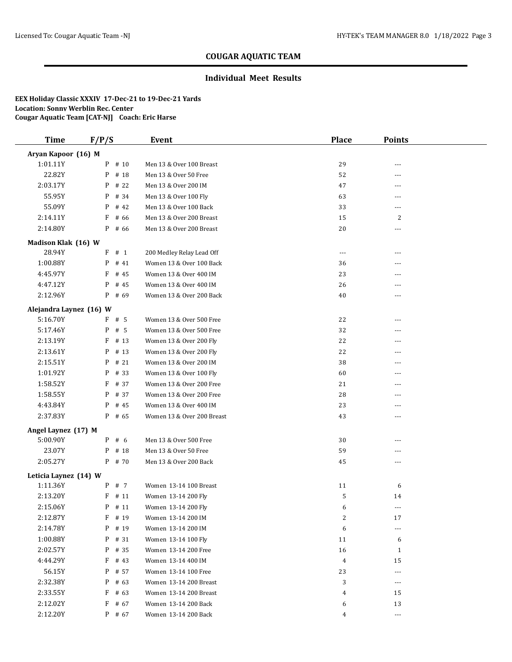### **Individual Meet Results**

| <b>Time</b>                       | F/P/S     | Event                      | Place          | <b>Points</b>  |  |  |
|-----------------------------------|-----------|----------------------------|----------------|----------------|--|--|
| Aryan Kapoor (16) M               |           |                            |                |                |  |  |
| 1:01.11Y                          | $P$ # 10  | Men 13 & Over 100 Breast   | 29             |                |  |  |
| 22.82Y                            | P<br># 18 | Men 13 & Over 50 Free      | 52             |                |  |  |
| 2:03.17Y                          | P<br># 22 | Men 13 & Over 200 IM       | 47             |                |  |  |
| 55.95Y                            | P<br># 34 | Men 13 & Over 100 Fly      | 63             | $- - -$        |  |  |
| 55.09Y                            | P<br># 42 | Men 13 & Over 100 Back     | 33             | $---$          |  |  |
| 2:14.11Y                          | F<br># 66 | Men 13 & Over 200 Breast   | 15             | 2              |  |  |
| 2:14.80Y                          | $P$ # 66  | Men 13 & Over 200 Breast   | 20             | ---            |  |  |
| Madison Klak (16) W               |           |                            |                |                |  |  |
| 28.94Y                            | F<br># 1  | 200 Medley Relay Lead Off  | $---$          | $\overline{a}$ |  |  |
| 1:00.88Y                          | P<br># 41 | Women 13 & Over 100 Back   | 36             |                |  |  |
| 4:45.97Y                          | F<br># 45 | Women 13 & Over 400 IM     | 23             |                |  |  |
| 4:47.12Y                          | P<br># 45 | Women 13 & Over 400 IM     | 26             |                |  |  |
| 2:12.96Y                          | $P$ # 69  | Women 13 & Over 200 Back   | 40             | $- - -$        |  |  |
| Alejandra Laynez (16) W           |           |                            |                |                |  |  |
| 5:16.70Y                          | $F$ # 5   | Women 13 & Over 500 Free   | 22             | ---            |  |  |
| 5:17.46Y                          | P<br># 5  | Women 13 & Over 500 Free   | 32             | ---            |  |  |
| 2:13.19Y                          | F<br># 13 | Women 13 & Over 200 Fly    | 22             | ---            |  |  |
| 2:13.61Y                          | P<br># 13 | Women 13 & Over 200 Fly    | 22             | ---            |  |  |
| 2:15.51Y                          | #21<br>P  | Women 13 & Over 200 IM     | 38             |                |  |  |
| 1:01.92Y                          | P<br># 33 | Women 13 & Over 100 Fly    | 60             | ---            |  |  |
| 1:58.52Y                          | F<br># 37 | Women 13 & Over 200 Free   | 21             |                |  |  |
| 1:58.55Y                          | # 37<br>P | Women 13 & Over 200 Free   | 28             |                |  |  |
| 4:43.84Y                          | P<br># 45 | Women 13 & Over 400 IM     | 23             | ---            |  |  |
| 2:37.83Y                          | $P$ # 65  | Women 13 & Over 200 Breast | 43             | ---            |  |  |
| Angel Laynez (17) M               |           |                            |                |                |  |  |
| 5:00.90Y                          | $P$ # 6   | Men 13 & Over 500 Free     | 30             | ---            |  |  |
| 23.07Y                            | P # 18    | Men 13 & Over 50 Free      | 59             | ---            |  |  |
| 2:05.27Y                          | $P$ # 70  | Men 13 & Over 200 Back     | 45             | ---            |  |  |
|                                   |           |                            |                |                |  |  |
| Leticia Laynez (14) W<br>1:11.36Y | P # 7     | Women 13-14 100 Breast     | 11             | 6              |  |  |
| 2:13.20Y                          | # 11<br>F | Women 13-14 200 Fly        | 5              | 14             |  |  |
| 2:15.06Y                          | P # 11    | Women 13-14 200 Fly        | 6              | $---$          |  |  |
| 2:12.87Y                          | # 19<br>F | Women 13-14 200 IM         | $\overline{2}$ | 17             |  |  |
| 2:14.78Y                          | # 19<br>P | Women 13-14 200 IM         | 6              | ---            |  |  |
| 1:00.88Y                          | P # 31    | Women 13-14 100 Fly        | 11             | 6              |  |  |
| 2:02.57Y                          | P # 35    | Women 13-14 200 Free       | 16             | 1              |  |  |
| 4:44.29Y                          | F<br># 43 | Women 13-14 400 IM         | $\overline{4}$ | 15             |  |  |
| 56.15Y                            | P<br># 57 | Women 13-14 100 Free       | 23             | $---$          |  |  |
| 2:32.38Y                          | P<br># 63 | Women 13-14 200 Breast     | 3              | $\cdots$       |  |  |
| 2:33.55Y                          | F<br># 63 | Women 13-14 200 Breast     | 4              | 15             |  |  |
| 2:12.02Y                          | F<br># 67 | Women 13-14 200 Back       | 6              | 13             |  |  |
| 2:12.20Y                          | P # 67    | Women 13-14 200 Back       | 4              | $---$          |  |  |
|                                   |           |                            |                |                |  |  |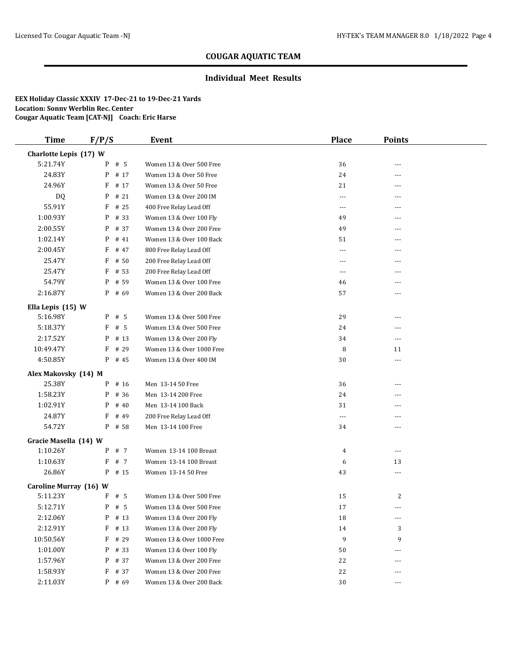### **Individual Meet Results**

| <b>Time</b>            | F/P/S |          | Event                     | <b>Place</b>  | <b>Points</b>        |  |
|------------------------|-------|----------|---------------------------|---------------|----------------------|--|
| Charlotte Lepis (17) W |       |          |                           |               |                      |  |
| 5:21.74Y               |       | $P$ # 5  | Women 13 & Over 500 Free  | 36            |                      |  |
| 24.83Y                 |       | P # 17   | Women 13 & Over 50 Free   | 24            | ---                  |  |
| 24.96Y                 | F     | # 17     | Women 13 & Over 50 Free   | 21            | ---                  |  |
| DQ                     | P     | # 21     | Women 13 & Over 200 IM    | $---$         | ---                  |  |
| 55.91Y                 | F     | # 25     | 400 Free Relay Lead Off   | $\cdots$      | ---                  |  |
| 1:00.93Y               | P     | # 33     | Women 13 & Over 100 Fly   | 49            | ---                  |  |
| 2:00.55Y               | P     | # 37     | Women 13 & Over 200 Free  | 49            | ---                  |  |
| 1:02.14Y               | P     | # 41     | Women 13 & Over 100 Back  | 51            | ---                  |  |
| 2:00.45Y               | F     | # 47     | 800 Free Relay Lead Off   | $\cdots$      | ---                  |  |
| 25.47Y                 | F     | # 50     | 200 Free Relay Lead Off   | ---           | ---                  |  |
| 25.47Y                 | F     | # 53     | 200 Free Relay Lead Off   | $\frac{1}{2}$ | ---                  |  |
| 54.79Y                 | P     | # 59     | Women 13 & Over 100 Free  | 46            | ---                  |  |
| 2:16.87Y               |       | $P$ # 69 | Women 13 & Over 200 Back  | 57            | ---                  |  |
| Ella Lepis (15) W      |       |          |                           |               |                      |  |
| 5:16.98Y               |       | $P$ # 5  | Women 13 & Over 500 Free  | 29            | ---                  |  |
| 5:18.37Y               | F     | # 5      | Women 13 & Over 500 Free  | 24            | ---                  |  |
| 2:17.52Y               | P     | # 13     | Women 13 & Over 200 Fly   | 34            | ---                  |  |
| 10:49.47Y              | F     | # 29     | Women 13 & Over 1000 Free | 8             | 11                   |  |
| 4:50.85Y               |       | P # 45   | Women 13 & Over 400 IM    | 30            | ---                  |  |
| Alex Makovsky (14) M   |       |          |                           |               |                      |  |
| 25.38Y                 | P     | # 16     | Men 13-14 50 Free         | 36            | ---                  |  |
| 1:58.23Y               | P     | # 36     | Men 13-14 200 Free        | 24            |                      |  |
| 1:02.91Y               | P     | #40      | Men 13-14 100 Back        | 31            | ---                  |  |
| 24.87Y                 | F     | # 49     | 200 Free Relay Lead Off   | $\cdots$      | ---                  |  |
| 54.72Y                 |       | $P$ # 58 | Men 13-14 100 Free        | 34            | ---                  |  |
| Gracie Masella (14) W  |       |          |                           |               |                      |  |
| 1:10.26Y               |       | P # 7    | Women 13-14 100 Breast    | 4             | $\sim$ $\sim$ $\sim$ |  |
| 1:10.63Y               | F     | # 7      | Women 13-14 100 Breast    | 6             | 13                   |  |
| 26.86Y                 | P     | # 15     | Women 13-14 50 Free       | 43            | ---                  |  |
| Caroline Murray (16) W |       |          |                           |               |                      |  |
| 5:11.23Y               |       | $F$ # 5  | Women 13 & Over 500 Free  | 15            | 2                    |  |
| 5:12.71Y               |       | $P$ # 5  | Women 13 & Over 500 Free  | 17            | $\cdots$             |  |
| 2:12.06Y               | P     | # 13     | Women 13 & Over 200 Fly   | 18            | $---$                |  |
| 2:12.91Y               | F     | # $13$   | Women 13 & Over 200 Fly   | 14            | 3                    |  |
| 10:50.56Y              | F     | # 29     | Women 13 & Over 1000 Free | 9             | 9                    |  |
| 1:01.00Y               |       | P # 33   | Women 13 & Over 100 Fly   | 50            | ---                  |  |
| 1:57.96Y               | P     | # 37     | Women 13 & Over 200 Free  | 22            |                      |  |
| 1:58.93Y               |       | $F$ # 37 | Women 13 & Over 200 Free  | 22            | ---                  |  |
| 2:11.03Y               |       | P # 69   | Women 13 & Over 200 Back  | 30            | $\cdots$             |  |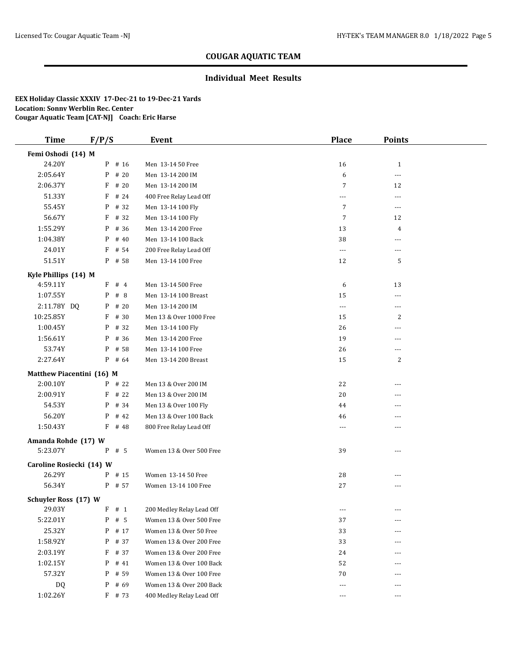### **Individual Meet Results**

| <b>Time</b>                 | F/P/S     | <b>Event</b>              | Place          | <b>Points</b>  |  |
|-----------------------------|-----------|---------------------------|----------------|----------------|--|
| Femi Oshodi (14) M          |           |                           |                |                |  |
| 24.20Y                      | P # 16    | Men 13-14 50 Free         | 16             | $\mathbf{1}$   |  |
| 2:05.64Y                    | P<br># 20 | Men 13-14 200 IM          | 6              | $---$          |  |
| 2:06.37Y                    | F<br># 20 | Men 13-14 200 IM          | $\overline{7}$ | 12             |  |
| 51.33Y                      | F<br># 24 | 400 Free Relay Lead Off   | $\overline{a}$ | $\overline{a}$ |  |
| 55.45Y                      | P<br># 32 | Men 13-14 100 Fly         | $\overline{7}$ | $---$          |  |
| 56.67Y                      | F<br># 32 | Men 13-14 100 Fly         | $\overline{7}$ | 12             |  |
| 1:55.29Y                    | P<br># 36 | Men 13-14 200 Free        | 13             | 4              |  |
| 1:04.38Y                    | # 40<br>P | Men 13-14 100 Back        | 38             | ---            |  |
| 24.01Y                      | F<br># 54 | 200 Free Relay Lead Off   | $---$          | ---            |  |
| 51.51Y                      | # 58<br>P | Men 13-14 100 Free        | 12             | 5              |  |
| Kyle Phillips (14) M        |           |                           |                |                |  |
| 4:59.11Y                    | F # 4     | Men 13-14 500 Free        | 6              | 13             |  |
| 1:07.55Y                    | P<br># 8  | Men 13-14 100 Breast      | 15             | $\overline{a}$ |  |
| 2:11.78Y DQ                 | # 20<br>P | Men 13-14 200 IM          | $\cdots$       | $---$          |  |
| 10:25.85Y                   | F<br># 30 | Men 13 & Over 1000 Free   | 15             | $\overline{c}$ |  |
| 1:00.45Y                    | # 32<br>P | Men 13-14 100 Fly         | 26             | ---            |  |
| 1:56.61Y                    | # 36<br>P | Men 13-14 200 Free        | 19             | ---            |  |
| 53.74Y                      | # 58<br>P | Men 13-14 100 Free        | 26             | $---$          |  |
| 2:27.64Y                    | $P$ # 64  | Men 13-14 200 Breast      | 15             | $\overline{c}$ |  |
| Matthew Piacentini (16) M   |           |                           |                |                |  |
| 2:00.10Y                    | $P$ # 22  | Men 13 & Over 200 IM      | 22             | ---            |  |
| 2:00.91Y                    | F<br># 22 | Men 13 & Over 200 IM      | 20             |                |  |
| 54.53Y                      | P<br># 34 | Men 13 & Over 100 Fly     | 44             | ---            |  |
| 56.20Y                      | P<br># 42 | Men 13 & Over 100 Back    | 46             | ---            |  |
| 1:50.43Y                    | $F$ # 48  | 800 Free Relay Lead Off   | $---$          | ---            |  |
| Amanda Rohde (17) W         |           |                           |                |                |  |
| 5:23.07Y                    | $P$ # 5   | Women 13 & Over 500 Free  | 39             | $- - -$        |  |
| Caroline Rosiecki (14) W    |           |                           |                |                |  |
| 26.29Y                      | $P$ # 15  | Women 13-14 50 Free       | 28             | $---$          |  |
| 56.34Y                      | P # 57    | Women 13-14 100 Free      | 27             | ---            |  |
| <b>Schuyler Ross (17) W</b> |           |                           |                |                |  |
| 29.03Y                      | F # 1     | 200 Medley Relay Lead Off | $---$          | ---            |  |
| 5:22.01Y                    | # 5<br>P  | Women 13 & Over 500 Free  | 37             | ---            |  |
| 25.32Y                      | # 17<br>P | Women 13 & Over 50 Free   | 33             | ---            |  |
| 1:58.92Y                    | P<br># 37 | Women 13 & Over 200 Free  | 33             |                |  |
| 2:03.19Y                    | F<br># 37 | Women 13 & Over 200 Free  | 24             |                |  |
| 1:02.15Y                    | P<br># 41 | Women 13 & Over 100 Back  | 52             |                |  |
| 57.32Y                      | P<br># 59 | Women 13 & Over 100 Free  | 70             | $---$          |  |
| DQ                          | # 69<br>P | Women 13 & Over 200 Back  | $---$          | $---$          |  |
| 1:02.26Y                    | F # 73    | 400 Medley Relay Lead Off | $\cdots$       | ---            |  |